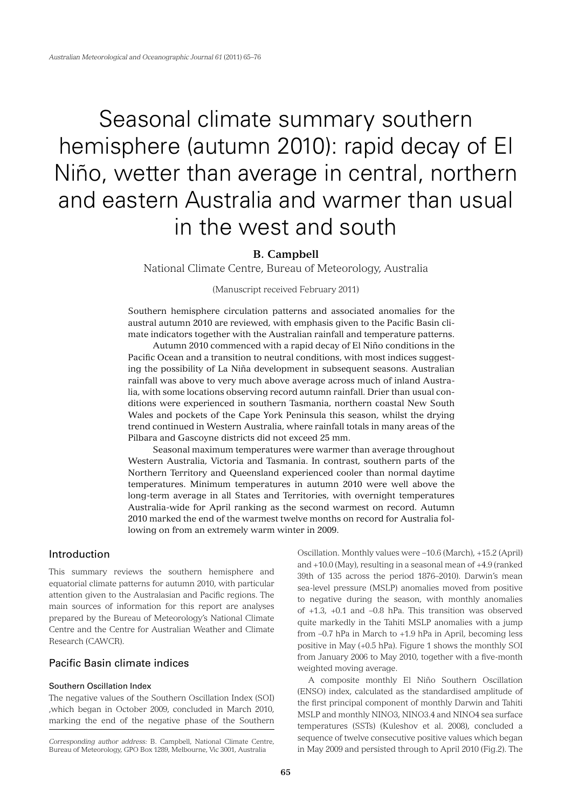# Seasonal climate summary southern hemisphere (autumn 2010): rapid decay of El Niño, wetter than average in central, northern and eastern Australia and warmer than usual in the west and south

# **B. Campbell**

National Climate Centre, Bureau of Meteorology, Australia

# (Manuscript received February 2011)

Southern hemisphere circulation patterns and associated anomalies for the austral autumn 2010 are reviewed, with emphasis given to the Pacific Basin climate indicators together with the Australian rainfall and temperature patterns.

Autumn 2010 commenced with a rapid decay of El Niño conditions in the Pacific Ocean and a transition to neutral conditions, with most indices suggesting the possibility of La Niña development in subsequent seasons. Australian rainfall was above to very much above average across much of inland Australia, with some locations observing record autumn rainfall. Drier than usual conditions were experienced in southern Tasmania, northern coastal New South Wales and pockets of the Cape York Peninsula this season, whilst the drying trend continued in Western Australia, where rainfall totals in many areas of the Pilbara and Gascoyne districts did not exceed 25 mm.

Seasonal maximum temperatures were warmer than average throughout Western Australia, Victoria and Tasmania. In contrast, southern parts of the Northern Territory and Queensland experienced cooler than normal daytime temperatures. Minimum temperatures in autumn 2010 were well above the long-term average in all States and Territories, with overnight temperatures Australia-wide for April ranking as the second warmest on record. Autumn 2010 marked the end of the warmest twelve months on record for Australia following on from an extremely warm winter in 2009.

# Introduction

This summary reviews the southern hemisphere and equatorial climate patterns for autumn 2010, with particular attention given to the Australasian and Pacific regions. The main sources of information for this report are analyses prepared by the Bureau of Meteorology's National Climate Centre and the Centre for Australian Weather and Climate Research (CAWCR).

# Pacific Basin climate indices

#### Southern Oscillation Index

The negative values of the Southern Oscillation Index (SOI) ,which began in October 2009, concluded in March 2010, marking the end of the negative phase of the Southern Oscillation. Monthly values were –10.6 (March), +15.2 (April) and +10.0 (May), resulting in a seasonal mean of +4.9 (ranked 39th of 135 across the period 1876–2010). Darwin's mean sea-level pressure (MSLP) anomalies moved from positive to negative during the season, with monthly anomalies of +1.3, +0.1 and –0.8 hPa. This transition was observed quite markedly in the Tahiti MSLP anomalies with a jump from –0.7 hPa in March to +1.9 hPa in April, becoming less positive in May (+0.5 hPa). Figure 1 shows the monthly SOI from January 2006 to May 2010, together with a five-month weighted moving average.

A composite monthly El Niño Southern Oscillation (ENSO) index, calculated as the standardised amplitude of the first principal component of monthly Darwin and Tahiti MSLP and monthly NINO3, NINO3.4 and NINO4 sea surface temperatures (SSTs) (Kuleshov et al. 2008), concluded a sequence of twelve consecutive positive values which began in May 2009 and persisted through to April 2010 (Fig.2). The

*Corresponding author address:* B. Campbell, National Climate Centre, Bureau of Meteorology, GPO Box 1289, Melbourne, Vic 3001, Australia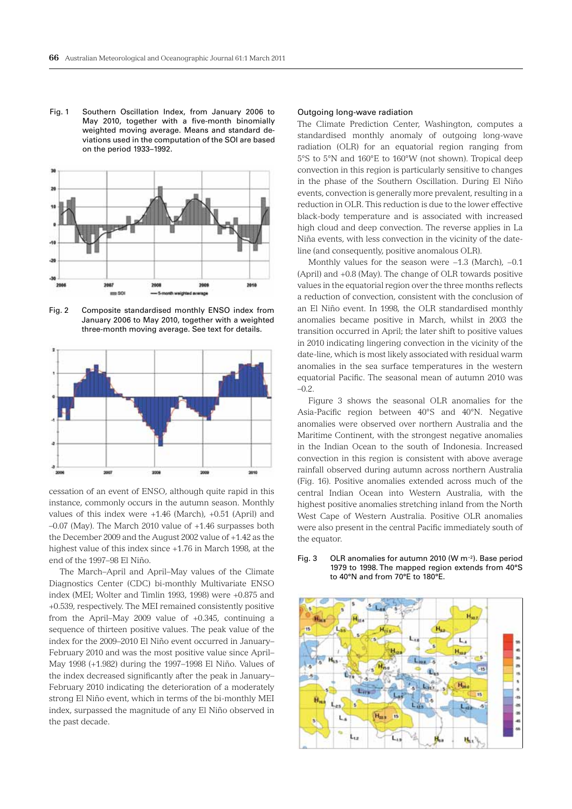Fig. 1 Southern Oscillation Index, from January 2006 to May 2010, together with a five-month binomially weighted moving average. Means and standard deviations used in the computation of the SOI are based on the period 1933–1992.



Fig. 2 Composite standardised monthly ENSO index from January 2006 to May 2010, together with a weighted three-month moving average. See text for details.



cessation of an event of ENSO, although quite rapid in this instance, commonly occurs in the autumn season. Monthly values of this index were +1.46 (March), +0.51 (April) and –0.07 (May). The March 2010 value of +1.46 surpasses both the December 2009 and the August 2002 value of +1.42 as the highest value of this index since +1.76 in March 1998, at the end of the 1997–98 El Niño.

The March–April and April–May values of the Climate Diagnostics Center (CDC) bi-monthly Multivariate ENSO index (MEI; Wolter and Timlin 1993, 1998) were +0.875 and +0.539, respectively. The MEI remained consistently positive from the April–May 2009 value of +0.345, continuing a sequence of thirteen positive values. The peak value of the index for the 2009–2010 El Niño event occurred in January– February 2010 and was the most positive value since April– May 1998 (+1.982) during the 1997–1998 El Niño. Values of the index decreased significantly after the peak in January– February 2010 indicating the deterioration of a moderately strong El Niño event, which in terms of the bi-monthly MEI index, surpassed the magnitude of any El Niño observed in the past decade.

#### Outgoing long-wave radiation

The Climate Prediction Center, Washington, computes a standardised monthly anomaly of outgoing long-wave radiation (OLR) for an equatorial region ranging from 5°S to 5°N and 160°E to 160°W (not shown). Tropical deep convection in this region is particularly sensitive to changes in the phase of the Southern Oscillation. During El Niño events, convection is generally more prevalent, resulting in a reduction in OLR. This reduction is due to the lower effective black-body temperature and is associated with increased high cloud and deep convection. The reverse applies in La Niña events, with less convection in the vicinity of the dateline (and consequently, positive anomalous OLR).

Monthly values for the season were −1.3 (March), −0.1 (April) and +0.8 (May). The change of OLR towards positive values in the equatorial region over the three months reflects a reduction of convection, consistent with the conclusion of an El Niño event. In 1998, the OLR standardised monthly anomalies became positive in March, whilst in 2003 the transition occurred in April; the later shift to positive values in 2010 indicating lingering convection in the vicinity of the date-line, which is most likely associated with residual warm anomalies in the sea surface temperatures in the western equatorial Pacific. The seasonal mean of autumn 2010 was –0.2.

Figure 3 shows the seasonal OLR anomalies for the Asia-Pacific region between 40°S and 40°N. Negative anomalies were observed over northern Australia and the Maritime Continent, with the strongest negative anomalies in the Indian Ocean to the south of Indonesia. Increased convection in this region is consistent with above average rainfall observed during autumn across northern Australia (Fig. 16). Positive anomalies extended across much of the central Indian Ocean into Western Australia, with the highest positive anomalies stretching inland from the North West Cape of Western Australia. Positive OLR anomalies were also present in the central Pacific immediately south of the equator.



#### Fig. 3 OLR anomalies for autumn 2010 (W m−2). Base period 1979 to 1998. The mapped region extends from 40°S to 40°N and from 70°E to 180°E.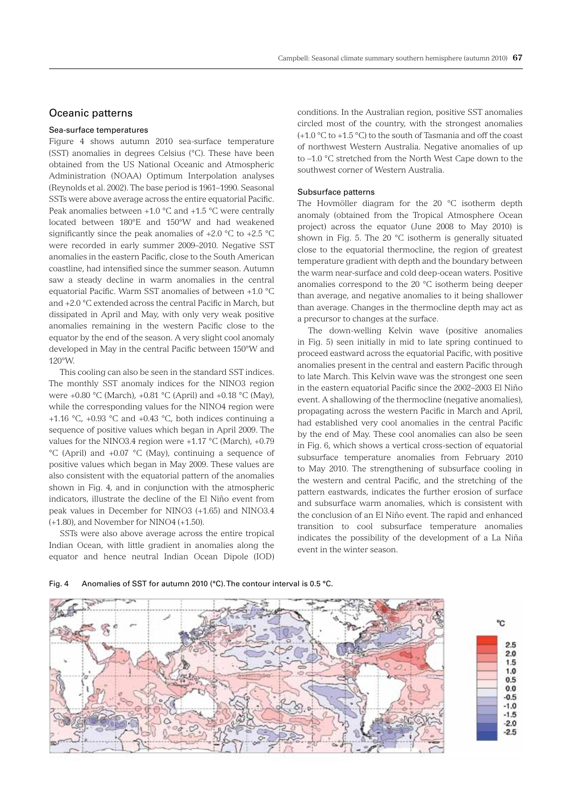# Oceanic patterns

#### Sea-surface temperatures

Figure 4 shows autumn 2010 sea-surface temperature (SST) anomalies in degrees Celsius (°C). These have been obtained from the US National Oceanic and Atmospheric Administration (NOAA) Optimum Interpolation analyses (Reynolds et al. 2002). The base period is 1961–1990. Seasonal SSTs were above average across the entire equatorial Pacific. Peak anomalies between  $+1.0$  °C and  $+1.5$  °C were centrally located between 180°E and 150°W and had weakened significantly since the peak anomalies of  $+2.0$  °C to  $+2.5$  °C were recorded in early summer 2009–2010. Negative SST anomalies in the eastern Pacific, close to the South American coastline, had intensified since the summer season. Autumn saw a steady decline in warm anomalies in the central equatorial Pacific. Warm SST anomalies of between +1.0 °C and +2.0 °C extended across the central Pacific in March, but dissipated in April and May, with only very weak positive anomalies remaining in the western Pacific close to the equator by the end of the season. A very slight cool anomaly developed in May in the central Pacific between 150°W and 120°W.

This cooling can also be seen in the standard SST indices. The monthly SST anomaly indices for the NINO3 region were +0.80 °C (March), +0.81 °C (April) and +0.18 °C (May), while the corresponding values for the NINO4 region were +1.16 °C, +0.93 °C and +0.43 °C, both indices continuing a sequence of positive values which began in April 2009. The values for the NINO3.4 region were +1.17 °C (March), +0.79 °C (April) and +0.07 °C (May), continuing a sequence of positive values which began in May 2009. These values are also consistent with the equatorial pattern of the anomalies shown in Fig. 4, and in conjunction with the atmospheric indicators, illustrate the decline of the El Niño event from peak values in December for NINO3 (+1.65) and NINO3.4 (+1.80), and November for NINO4 (+1.50).

SSTs were also above average across the entire tropical Indian Ocean, with little gradient in anomalies along the equator and hence neutral Indian Ocean Dipole (IOD)

conditions. In the Australian region, positive SST anomalies circled most of the country, with the strongest anomalies (+1.0 °C to +1.5 °C) to the south of Tasmania and off the coast of northwest Western Australia. Negative anomalies of up to –1.0 °C stretched from the North West Cape down to the southwest corner of Western Australia.

#### Subsurface patterns

The Hovmöller diagram for the 20 °C isotherm depth anomaly (obtained from the Tropical Atmosphere Ocean project) across the equator (June 2008 to May 2010) is shown in Fig. 5. The 20 °C isotherm is generally situated close to the equatorial thermocline, the region of greatest temperature gradient with depth and the boundary between the warm near-surface and cold deep-ocean waters. Positive anomalies correspond to the 20 °C isotherm being deeper than average, and negative anomalies to it being shallower than average. Changes in the thermocline depth may act as a precursor to changes at the surface.

The down-welling Kelvin wave (positive anomalies in Fig. 5) seen initially in mid to late spring continued to proceed eastward across the equatorial Pacific, with positive anomalies present in the central and eastern Pacific through to late March. This Kelvin wave was the strongest one seen in the eastern equatorial Pacific since the 2002–2003 El Niño event. A shallowing of the thermocline (negative anomalies), propagating across the western Pacific in March and April, had established very cool anomalies in the central Pacific by the end of May. These cool anomalies can also be seen in Fig. 6, which shows a vertical cross-section of equatorial subsurface temperature anomalies from February 2010 to May 2010. The strengthening of subsurface cooling in the western and central Pacific, and the stretching of the pattern eastwards, indicates the further erosion of surface and subsurface warm anomalies, which is consistent with the conclusion of an El Niño event. The rapid and enhanced transition to cool subsurface temperature anomalies indicates the possibility of the development of a La Niña event in the winter season.



#### Fig. 4 Anomalies of SST for autumn 2010 (°C). The contour interval is 0.5 °C.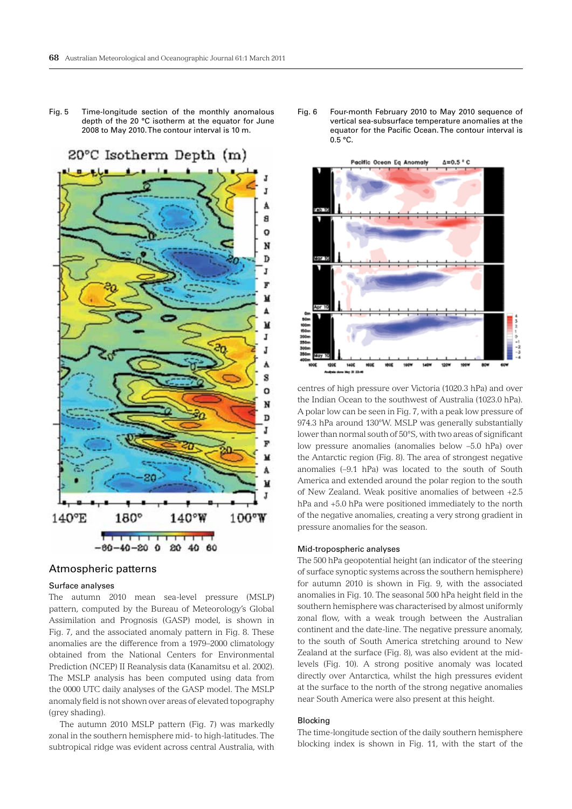Fig. 5 Time-longitude section of the monthly anomalous depth of the 20 °C isotherm at the equator for June 2008 to May 2010. The contour interval is 10 m.



# Atmospheric patterns

# Surface analyses

The autumn 2010 mean sea-level pressure (MSLP) pattern, computed by the Bureau of Meteorology's Global Assimilation and Prognosis (GASP) model, is shown in Fig. 7, and the associated anomaly pattern in Fig. 8. These anomalies are the difference from a 1979–2000 climatology obtained from the National Centers for Environmental Prediction (NCEP) II Reanalysis data (Kanamitsu et al. 2002). The MSLP analysis has been computed using data from the 0000 UTC daily analyses of the GASP model. The MSLP anomaly field is not shown over areas of elevated topography (grey shading).

The autumn 2010 MSLP pattern (Fig. 7) was markedly zonal in the southern hemisphere mid- to high-latitudes. The subtropical ridge was evident across central Australia, with Fig. 6 Four-month February 2010 to May 2010 sequence of vertical sea-subsurface temperature anomalies at the equator for the Pacific Ocean. The contour interval is 0.5 °C.



centres of high pressure over Victoria (1020.3 hPa) and over the Indian Ocean to the southwest of Australia (1023.0 hPa). A polar low can be seen in Fig. 7, with a peak low pressure of 974.3 hPa around 130°W. MSLP was generally substantially lower than normal south of 50°S, with two areas of significant low pressure anomalies (anomalies below –5.0 hPa) over the Antarctic region (Fig. 8). The area of strongest negative anomalies (–9.1 hPa) was located to the south of South America and extended around the polar region to the south of New Zealand. Weak positive anomalies of between +2.5 hPa and +5.0 hPa were positioned immediately to the north of the negative anomalies, creating a very strong gradient in pressure anomalies for the season.

#### Mid-tropospheric analyses

The 500 hPa geopotential height (an indicator of the steering of surface synoptic systems across the southern hemisphere) for autumn 2010 is shown in Fig. 9, with the associated anomalies in Fig. 10. The seasonal 500 hPa height field in the southern hemisphere was characterised by almost uniformly zonal flow, with a weak trough between the Australian continent and the date-line. The negative pressure anomaly, to the south of South America stretching around to New Zealand at the surface (Fig. 8), was also evident at the midlevels (Fig. 10). A strong positive anomaly was located directly over Antarctica, whilst the high pressures evident at the surface to the north of the strong negative anomalies near South America were also present at this height.

#### Blocking

The time-longitude section of the daily southern hemisphere blocking index is shown in Fig. 11, with the start of the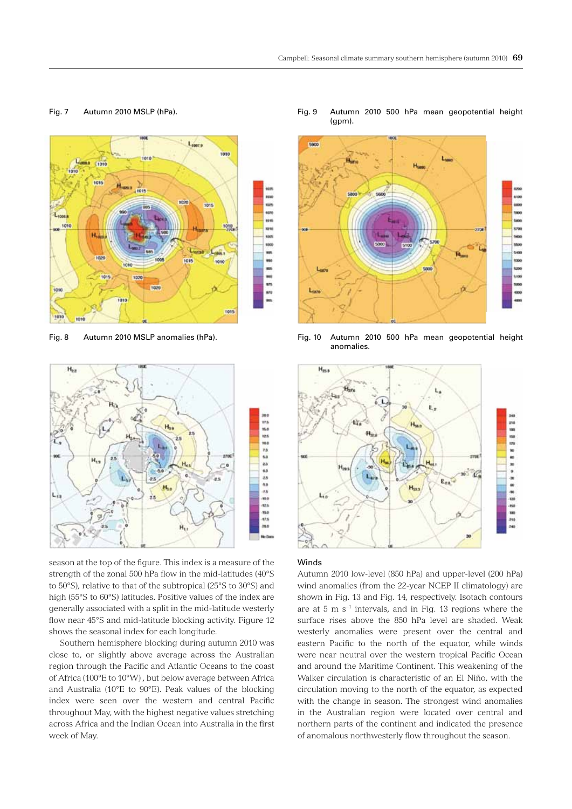# Fig. 7 Autumn 2010 MSLP (hPa).





season at the top of the figure. This index is a measure of the strength of the zonal 500 hPa flow in the mid-latitudes (40°S to 50°S), relative to that of the subtropical (25°S to 30°S) and high (55°S to 60°S) latitudes. Positive values of the index are generally associated with a split in the mid-latitude westerly flow near 45°S and mid-latitude blocking activity. Figure 12 shows the seasonal index for each longitude.

Southern hemisphere blocking during autumn 2010 was close to, or slightly above average across the Australian region through the Pacific and Atlantic Oceans to the coast of Africa (100°E to 10°W) , but below average between Africa and Australia (10°E to 90°E). Peak values of the blocking index were seen over the western and central Pacific throughout May, with the highest negative values stretching across Africa and the Indian Ocean into Australia in the first week of May.

Fig. 9 Autumn 2010 500 hPa mean geopotential height (gpm).



Fig. 8 Autumn 2010 MSLP anomalies (hPa). Fig. 10 Autumn 2010 500 hPa mean geopotential height anomalies.



#### Winds

Autumn 2010 low-level (850 hPa) and upper-level (200 hPa) wind anomalies (from the 22-year NCEP II climatology) are shown in Fig. 13 and Fig. 14, respectively. Isotach contours are at 5 m s−1 intervals, and in Fig. 13 regions where the surface rises above the 850 hPa level are shaded. Weak westerly anomalies were present over the central and eastern Pacific to the north of the equator, while winds were near neutral over the western tropical Pacific Ocean and around the Maritime Continent. This weakening of the Walker circulation is characteristic of an El Niño, with the circulation moving to the north of the equator, as expected with the change in season. The strongest wind anomalies in the Australian region were located over central and northern parts of the continent and indicated the presence of anomalous northwesterly flow throughout the season.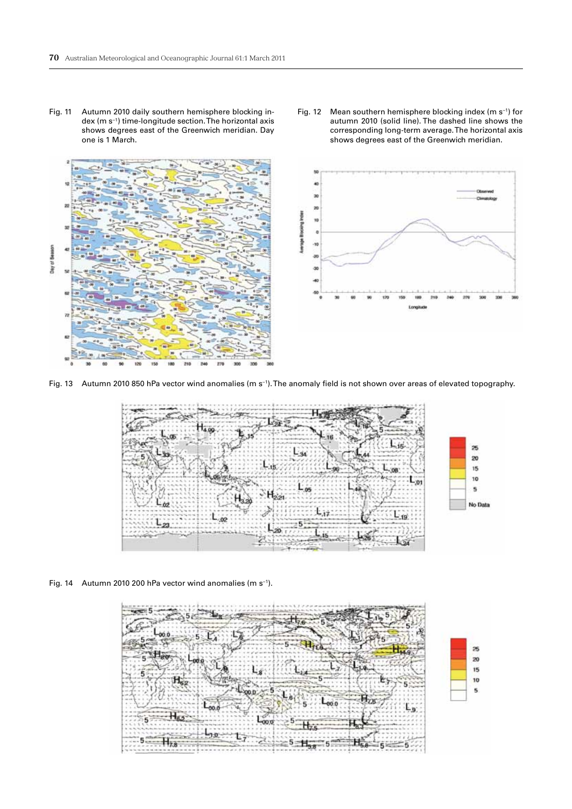Fig. 11 Autumn 2010 daily southern hemisphere blocking index (m s−1) time-longitude section. The horizontal axis shows degrees east of the Greenwich meridian. Day one is 1 March.







Fig. 13 Autumn 2010 850 hPa vector wind anomalies (m s−1). The anomaly field is not shown over areas of elevated topography.



Fig. 14 Autumn 2010 200 hPa vector wind anomalies (m s−1).

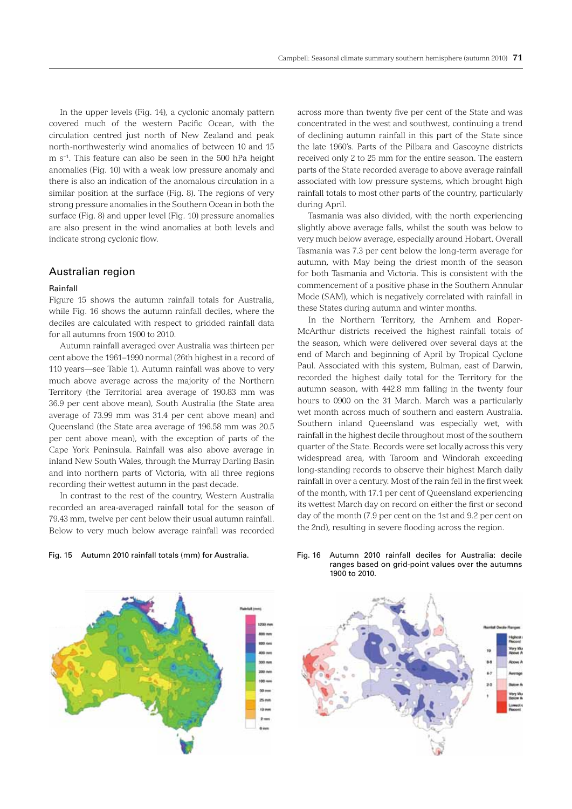In the upper levels (Fig. 14), a cyclonic anomaly pattern covered much of the western Pacific Ocean, with the circulation centred just north of New Zealand and peak north-northwesterly wind anomalies of between 10 and 15 m s−1. This feature can also be seen in the 500 hPa height anomalies (Fig. 10) with a weak low pressure anomaly and there is also an indication of the anomalous circulation in a similar position at the surface (Fig. 8). The regions of very strong pressure anomalies in the Southern Ocean in both the surface (Fig. 8) and upper level (Fig. 10) pressure anomalies are also present in the wind anomalies at both levels and indicate strong cyclonic flow.

# Australian region

#### Rainfall

Figure 15 shows the autumn rainfall totals for Australia, while Fig. 16 shows the autumn rainfall deciles, where the deciles are calculated with respect to gridded rainfall data for all autumns from 1900 to 2010.

Autumn rainfall averaged over Australia was thirteen per cent above the 1961–1990 normal (26th highest in a record of 110 years—see Table 1). Autumn rainfall was above to very much above average across the majority of the Northern Territory (the Territorial area average of 190.83 mm was 36.9 per cent above mean), South Australia (the State area average of 73.99 mm was 31.4 per cent above mean) and Queensland (the State area average of 196.58 mm was 20.5 per cent above mean), with the exception of parts of the Cape York Peninsula. Rainfall was also above average in inland New South Wales, through the Murray Darling Basin and into northern parts of Victoria, with all three regions recording their wettest autumn in the past decade.

In contrast to the rest of the country, Western Australia recorded an area-averaged rainfall total for the season of 79.43 mm, twelve per cent below their usual autumn rainfall. Below to very much below average rainfall was recorded

Fig. 15 Autumn 2010 rainfall totals (mm) for Australia.

across more than twenty five per cent of the State and was concentrated in the west and southwest, continuing a trend of declining autumn rainfall in this part of the State since the late 1960's. Parts of the Pilbara and Gascoyne districts received only 2 to 25 mm for the entire season. The eastern parts of the State recorded average to above average rainfall associated with low pressure systems, which brought high rainfall totals to most other parts of the country, particularly during April.

Tasmania was also divided, with the north experiencing slightly above average falls, whilst the south was below to very much below average, especially around Hobart. Overall Tasmania was 7.3 per cent below the long-term average for autumn, with May being the driest month of the season for both Tasmania and Victoria. This is consistent with the commencement of a positive phase in the Southern Annular Mode (SAM), which is negatively correlated with rainfall in these States during autumn and winter months.

In the Northern Territory, the Arnhem and Roper-McArthur districts received the highest rainfall totals of the season, which were delivered over several days at the end of March and beginning of April by Tropical Cyclone Paul. Associated with this system, Bulman, east of Darwin, recorded the highest daily total for the Territory for the autumn season, with 442.8 mm falling in the twenty four hours to 0900 on the 31 March. March was a particularly wet month across much of southern and eastern Australia. Southern inland Queensland was especially wet, with rainfall in the highest decile throughout most of the southern quarter of the State. Records were set locally across this very widespread area, with Taroom and Windorah exceeding long-standing records to observe their highest March daily rainfall in over a century. Most of the rain fell in the first week of the month, with 17.1 per cent of Queensland experiencing its wettest March day on record on either the first or second day of the month (7.9 per cent on the 1st and 9.2 per cent on the 2nd), resulting in severe flooding across the region.



#### Fig. 16 Autumn 2010 rainfall deciles for Australia: decile ranges based on grid-point values over the autumns 1900 to 2010.

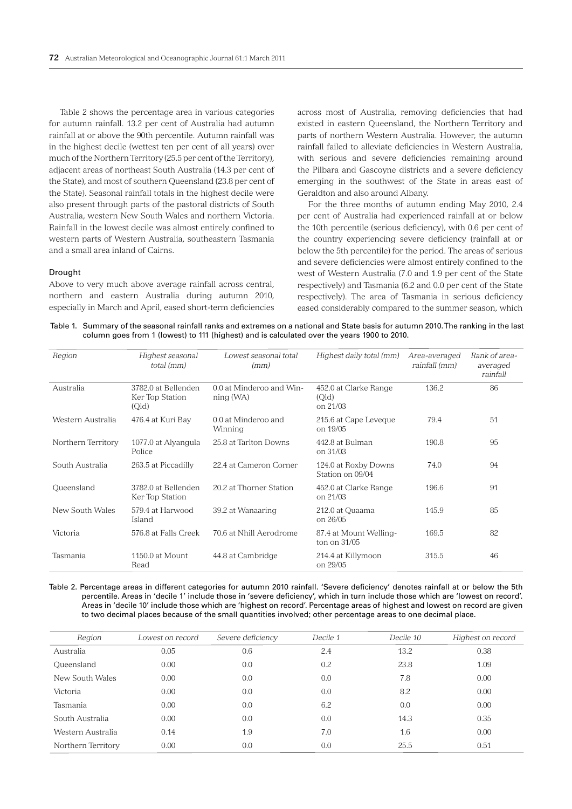Table 2 shows the percentage area in various categories for autumn rainfall. 13.2 per cent of Australia had autumn rainfall at or above the 90th percentile. Autumn rainfall was in the highest decile (wettest ten per cent of all years) over much of the Northern Territory (25.5 per cent of the Territory), adjacent areas of northeast South Australia (14.3 per cent of the State), and most of southern Queensland (23.8 per cent of the State). Seasonal rainfall totals in the highest decile were also present through parts of the pastoral districts of South Australia, western New South Wales and northern Victoria. Rainfall in the lowest decile was almost entirely confined to western parts of Western Australia, southeastern Tasmania and a small area inland of Cairns.

### Drought

Above to very much above average rainfall across central, northern and eastern Australia during autumn 2010, especially in March and April, eased short-term deficiencies across most of Australia, removing deficiencies that had existed in eastern Queensland, the Northern Territory and parts of northern Western Australia. However, the autumn rainfall failed to alleviate deficiencies in Western Australia, with serious and severe deficiencies remaining around the Pilbara and Gascoyne districts and a severe deficiency emerging in the southwest of the State in areas east of Geraldton and also around Albany.

For the three months of autumn ending May 2010, 2.4 per cent of Australia had experienced rainfall at or below the 10th percentile (serious deficiency), with 0.6 per cent of the country experiencing severe deficiency (rainfall at or below the 5th percentile) for the period. The areas of serious and severe deficiencies were almost entirely confined to the west of Western Australia (7.0 and 1.9 per cent of the State respectively) and Tasmania (6.2 and 0.0 per cent of the State respectively). The area of Tasmania in serious deficiency eased considerably compared to the summer season, which

Table 1. Summary of the seasonal rainfall ranks and extremes on a national and State basis for autumn 2010. The ranking in the last column goes from 1 (lowest) to 111 (highest) and is calculated over the years 1900 to 2010.

| Region             | Highest seasonal<br>total (mm)                  | Lowest seasonal total<br>(mm)         | Highest daily total (mm)                   | Area-averaged<br>rainfall (mm) | Rank of area-<br>averaged<br>rainfall |
|--------------------|-------------------------------------------------|---------------------------------------|--------------------------------------------|--------------------------------|---------------------------------------|
| Australia          | 3782.0 at Bellenden<br>Ker Top Station<br>(Qld) | 0.0 at Minderoo and Win-<br>ning (WA) | 452.0 at Clarke Range<br>(Old)<br>on 21/03 | 136.2                          | 86                                    |
| Western Australia  | 476.4 at Kuri Bay                               | 0.0 at Minderoo and<br>Winning        | 215.6 at Cape Leveque<br>on 19/05          | 79.4                           | 51                                    |
| Northern Territory | 1077.0 at Alyangula<br>Police                   | 25.8 at Tarlton Downs                 | 442.8 at Bulman<br>on 31/03                | 190.8                          | 95                                    |
| South Australia    | 263.5 at Piccadilly                             | 22.4 at Cameron Corner                | 124.0 at Roxby Downs<br>Station on 09/04   | 74.0                           | 94                                    |
| Queensland         | 3782.0 at Bellenden<br>Ker Top Station          | 20.2 at Thorner Station               | 452.0 at Clarke Range<br>on 21/03          | 196.6                          | 91                                    |
| New South Wales    | 579.4 at Harwood<br>Island                      | 39.2 at Wanaaring                     | 212.0 at Quaama<br>on 26/05                | 145.9                          | 85                                    |
| Victoria           | 576.8 at Falls Creek                            | 70.6 at Nhill Aerodrome               | 87.4 at Mount Welling-<br>ton on 31/05     | 169.5                          | 82                                    |
| Tasmania           | 1150.0 at Mount<br>Read                         | 44.8 at Cambridge                     | 214.4 at Killymoon<br>on 29/05             | 315.5                          | 46                                    |

Table 2. Percentage areas in different categories for autumn 2010 rainfall. 'Severe deficiency' denotes rainfall at or below the 5th percentile. Areas in 'decile 1' include those in 'severe deficiency', which in turn include those which are 'lowest on record'. Areas in 'decile 10' include those which are 'highest on record'. Percentage areas of highest and lowest on record are given to two decimal places because of the small quantities involved; other percentage areas to one decimal place.

| Region             | Lowest on record | Severe deficiency | Decile 1 | Decile 10 | Highest on record |
|--------------------|------------------|-------------------|----------|-----------|-------------------|
| Australia          | 0.05             | 0.6               | 2.4      | 13.2      | 0.38              |
| Queensland         | 0.00             | 0.0               | 0.2      | 23.8      | 1.09              |
| New South Wales    | 0.00             | 0.0               | 0.0      | 7.8       | 0.00              |
| Victoria           | 0.00             | 0.0               | 0.0      | 8.2       | 0.00              |
| Tasmania           | 0.00             | 0.0               | 6.2      | 0.0       | 0.00              |
| South Australia    | 0.00             | 0.0               | 0.0      | 14.3      | 0.35              |
| Western Australia  | 0.14             | 1.9               | 7.0      | 1.6       | 0.00              |
| Northern Territory | 0.00             | 0.0               | 0.0      | 25.5      | 0.51              |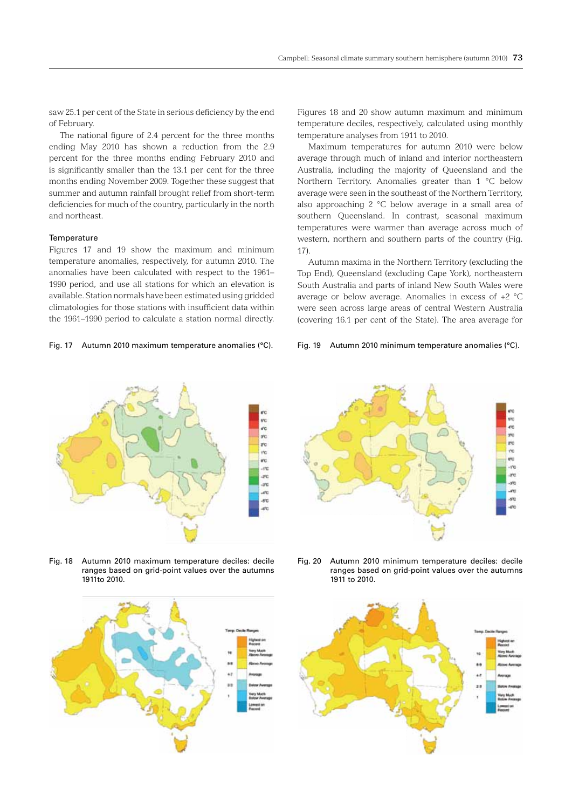saw 25.1 per cent of the State in serious deficiency by the end of February.

The national figure of 2.4 percent for the three months ending May 2010 has shown a reduction from the 2.9 percent for the three months ending February 2010 and is significantly smaller than the 13.1 per cent for the three months ending November 2009. Together these suggest that summer and autumn rainfall brought relief from short-term deficiencies for much of the country, particularly in the north and northeast.

#### **Temperature**

Figures 17 and 19 show the maximum and minimum temperature anomalies, respectively, for autumn 2010. The anomalies have been calculated with respect to the 1961– 1990 period, and use all stations for which an elevation is available. Station normals have been estimated using gridded climatologies for those stations with insufficient data within the 1961–1990 period to calculate a station normal directly.

#### Fig. 17 Autumn 2010 maximum temperature anomalies (°C). Fig. 19 Autumn 2010 minimum temperature anomalies (°C).

Figures 18 and 20 show autumn maximum and minimum temperature deciles, respectively, calculated using monthly temperature analyses from 1911 to 2010.

Maximum temperatures for autumn 2010 were below average through much of inland and interior northeastern Australia, including the majority of Queensland and the Northern Territory. Anomalies greater than 1 °C below average were seen in the southeast of the Northern Territory, also approaching 2 °C below average in a small area of southern Queensland. In contrast, seasonal maximum temperatures were warmer than average across much of western, northern and southern parts of the country (Fig. 17).

Autumn maxima in the Northern Territory (excluding the Top End), Queensland (excluding Cape York), northeastern South Australia and parts of inland New South Wales were average or below average. Anomalies in excess of +2 °C were seen across large areas of central Western Australia (covering 16.1 per cent of the State). The area average for



Fig. 18 Autumn 2010 maximum temperature deciles: decile ranges based on grid-point values over the autumns 1911to 2010.





Fig. 20 Autumn 2010 minimum temperature deciles: decile ranges based on grid-point values over the autumns 1911 to 2010.

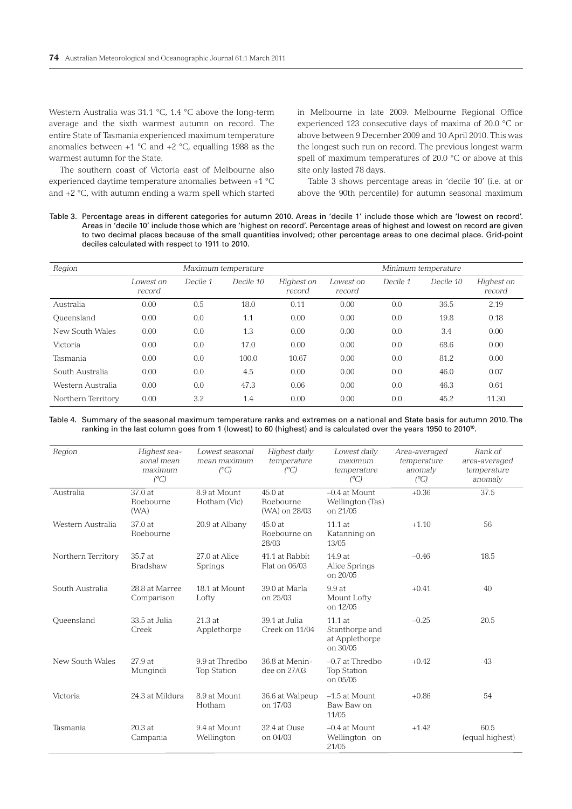Western Australia was 31.1 °C, 1.4 °C above the long-term average and the sixth warmest autumn on record. The entire State of Tasmania experienced maximum temperature anomalies between  $+1$  °C and  $+2$  °C, equalling 1988 as the warmest autumn for the State.

The southern coast of Victoria east of Melbourne also experienced daytime temperature anomalies between +1 °C and +2 °C, with autumn ending a warm spell which started

in Melbourne in late 2009. Melbourne Regional Office experienced 123 consecutive days of maxima of 20.0 °C or above between 9 December 2009 and 10 April 2010. This was the longest such run on record. The previous longest warm spell of maximum temperatures of 20.0 °C or above at this site only lasted 78 days.

Table 3 shows percentage areas in 'decile 10' (i.e. at or above the 90th percentile) for autumn seasonal maximum

Table 3. Percentage areas in different categories for autumn 2010. Areas in 'decile 1' include those which are 'lowest on record'. Areas in 'decile 10' include those which are 'highest on record'. Percentage areas of highest and lowest on record are given to two decimal places because of the small quantities involved; other percentage areas to one decimal place. Grid-point deciles calculated with respect to 1911 to 2010.

| Region             | Maximum temperature |          |           |                      | Minimum temperature |          |           |                      |
|--------------------|---------------------|----------|-----------|----------------------|---------------------|----------|-----------|----------------------|
|                    | Lowest on<br>record | Decile 1 | Decile 10 | Highest on<br>record | Lowest on<br>record | Decile 1 | Decile 10 | Highest on<br>record |
| Australia          | 0.00                | 0.5      | 18.0      | 0.11                 | 0.00                | 0.0      | 36.5      | 2.19                 |
| Oueensland         | 0.00                | 0.0      | 1.1       | 0.00                 | 0.00                | 0.0      | 19.8      | 0.18                 |
| New South Wales    | 0.00                | 0.0      | 1.3       | 0.00                 | 0.00                | 0.0      | 3.4       | 0.00                 |
| Victoria           | 0.00                | 0.0      | 17.0      | 0.00                 | 0.00                | 0.0      | 68.6      | 0.00                 |
| Tasmania           | 0.00                | 0.0      | 100.0     | 10.67                | 0.00                | 0.0      | 81.2      | 0.00                 |
| South Australia    | 0.00                | 0.0      | 4.5       | 0.00                 | 0.00                | 0.0      | 46.0      | 0.07                 |
| Western Australia  | 0.00                | 0.0      | 47.3      | 0.06                 | 0.00                | 0.0      | 46.3      | 0.61                 |
| Northern Territory | 0.00                | 3.2      | 1.4       | 0.00                 | 0.00                | 0.0      | 45.2      | 11.30                |

Table 4. Summary of the seasonal maximum temperature ranks and extremes on a national and State basis for autumn 2010. The ranking in the last column goes from 1 (lowest) to 60 (highest) and is calculated over the years 1950 to 2010<sup>10</sup>.

| Region             | Highest sea-<br>sonal mean<br>maximum<br>$(^{\circ}C)$ | Lowest seasonal<br>mean maximum<br>$(^{\circ}C)$ | Highest daily<br>temperature<br>(C)  | Lowest daily<br>maximum<br>temperature<br>$(^{\circ}C)$   | Area-averaged<br>temperature<br>anomaly<br>$(^{\circ}C)$ | Rank of<br>area-averaged<br>temperature<br>anomaly |
|--------------------|--------------------------------------------------------|--------------------------------------------------|--------------------------------------|-----------------------------------------------------------|----------------------------------------------------------|----------------------------------------------------|
| Australia          | 37.0 at<br>Roebourne<br>(WA)                           | 8.9 at Mount<br>Hotham (Vic)                     | 45.0at<br>Roebourne<br>(WA) on 28/03 | $-0.4$ at Mount<br>Wellington (Tas)<br>on 21/05           | $+0.36$                                                  | 37.5                                               |
| Western Australia  | 37.0 at<br>Roebourne                                   | 20.9 at Albany                                   | 45.0 at<br>Roebourne on<br>28/03     | 11.1 at<br>Katanning on<br>13/05                          | $+1.10$                                                  | 56                                                 |
| Northern Territory | 35.7 at<br><b>Bradshaw</b>                             | 27.0 at Alice<br>Springs                         | 41.1 at Rabbit<br>Flat on 06/03      | 14.9at<br>Alice Springs<br>on 20/05                       | $-0.46$                                                  | 18.5                                               |
| South Australia    | 28.8 at Marree<br>Comparison                           | 18.1 at Mount<br>Lofty                           | 39.0 at Marla<br>on 25/03            | 9.9at<br>Mount Lofty<br>on 12/05                          | $+0.41$                                                  | 40                                                 |
| Queensland         | 33.5 at Julia<br>Creek                                 | 21.3at<br>Applethorpe                            | 39.1 at Julia<br>Creek on 11/04      | $11.1$ at<br>Stanthorpe and<br>at Applethorpe<br>on 30/05 | $-0.25$                                                  | 20.5                                               |
| New South Wales    | 27.9 at<br>Mungindi                                    | 9.9 at Thredbo<br><b>Top Station</b>             | 36.8 at Menin-<br>dee on 27/03       | $-0.7$ at Thredbo<br><b>Top Station</b><br>on 05/05       | $+0.42$                                                  | 43                                                 |
| Victoria           | 24.3 at Mildura                                        | 8.9 at Mount<br>Hotham                           | 36.6 at Walpeup<br>on 17/03          | $-1.5$ at Mount<br>Baw Baw on<br>11/05                    | $+0.86$                                                  | 54                                                 |
| Tasmania           | $20.3$ at<br>Campania                                  | 9.4 at Mount<br>Wellington                       | 32.4 at Ouse<br>on 04/03             | $-0.4$ at Mount<br>Wellington on<br>21/05                 | $+1.42$                                                  | 60.5<br>(equal highest)                            |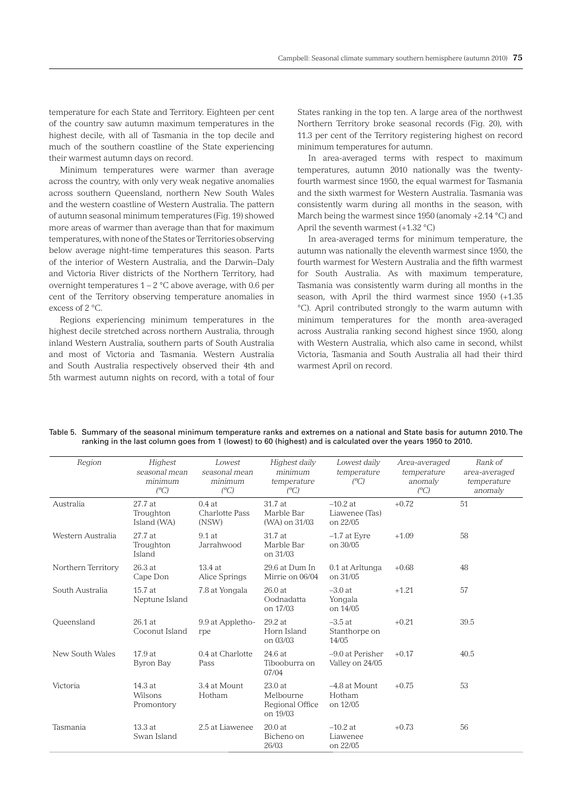temperature for each State and Territory. Eighteen per cent of the country saw autumn maximum temperatures in the highest decile, with all of Tasmania in the top decile and much of the southern coastline of the State experiencing their warmest autumn days on record.

Minimum temperatures were warmer than average across the country, with only very weak negative anomalies across southern Queensland, northern New South Wales and the western coastline of Western Australia. The pattern of autumn seasonal minimum temperatures (Fig. 19) showed more areas of warmer than average than that for maximum temperatures, with none of the States or Territories observing below average night-time temperatures this season. Parts of the interior of Western Australia, and the Darwin–Daly and Victoria River districts of the Northern Territory, had overnight temperatures  $1 - 2$  °C above average, with 0.6 per cent of the Territory observing temperature anomalies in excess of 2 °C.

Regions experiencing minimum temperatures in the highest decile stretched across northern Australia, through inland Western Australia, southern parts of South Australia and most of Victoria and Tasmania. Western Australia and South Australia respectively observed their 4th and 5th warmest autumn nights on record, with a total of four States ranking in the top ten. A large area of the northwest Northern Territory broke seasonal records (Fig. 20), with 11.3 per cent of the Territory registering highest on record minimum temperatures for autumn.

In area-averaged terms with respect to maximum temperatures, autumn 2010 nationally was the twentyfourth warmest since 1950, the equal warmest for Tasmania and the sixth warmest for Western Australia. Tasmania was consistently warm during all months in the season, with March being the warmest since 1950 (anomaly +2.14 °C) and April the seventh warmest  $(+1.32 \degree C)$ 

In area-averaged terms for minimum temperature, the autumn was nationally the eleventh warmest since 1950, the fourth warmest for Western Australia and the fifth warmest for South Australia. As with maximum temperature, Tasmania was consistently warm during all months in the season, with April the third warmest since 1950 (+1.35 °C). April contributed strongly to the warm autumn with minimum temperatures for the month area-averaged across Australia ranking second highest since 1950, along with Western Australia, which also came in second, whilst Victoria, Tasmania and South Australia all had their third warmest April on record.

| Region             | Highest<br>seasonal mean<br>minimum<br>$(^{\circ}C)$ | Lowest<br>seasonal mean<br>minimum<br>$(^{\circ}C)$ | Highest daily<br>minimum<br>temperature<br>$(^{\circ}C)$ | Lowest daily<br>temperature<br>$\binom{0}{C}$ | Area-averaged<br>temperature<br>anomaly<br>$(^{\circ}C)$ | Rank of<br>area-averaged<br>temperature<br>anomaly |
|--------------------|------------------------------------------------------|-----------------------------------------------------|----------------------------------------------------------|-----------------------------------------------|----------------------------------------------------------|----------------------------------------------------|
| Australia          | 27.7 at<br>Troughton<br>Island (WA)                  | 0.4at<br>Charlotte Pass<br>(NSW)                    | 31.7 at<br>Marble Bar<br>(WA) on 31/03                   | $-10.2$ at<br>Liawenee (Tas)<br>on 22/05      | $+0.72$                                                  | 51                                                 |
| Western Australia  | 27.7 at<br>Troughton<br>Island                       | $9.1$ at<br>Jarrahwood                              | 31.7 at<br>Marble Bar<br>on 31/03                        | $-1.7$ at Eyre<br>on 30/05                    | $+1.09$                                                  | 58                                                 |
| Northern Territory | 26.3 at<br>Cape Don                                  | 13.4 at<br>Alice Springs                            | 29.6 at Dum In<br>Mirrie on 06/04                        | 0.1 at Arltunga<br>on 31/05                   | $+0.68$                                                  | 48                                                 |
| South Australia    | 15.7 at<br>Neptune Island                            | 7.8 at Yongala                                      | 26.0 at<br>Oodnadatta<br>on 17/03                        | $-3.0$ at<br>Yongala<br>on 14/05              | $+1.21$                                                  | 57                                                 |
| Oueensland         | $26.1$ at<br>Coconut Island                          | 9.9 at Appletho-<br>rpe                             | 29.2 at<br>Horn Island<br>on 03/03                       | $-3.5$ at<br>Stanthorpe on<br>14/05           | $+0.21$                                                  | 39.5                                               |
| New South Wales    | 17.9 at<br>Byron Bay                                 | 0.4 at Charlotte<br>Pass                            | 24.6at<br>Tibooburra on<br>07/04                         | -9.0 at Perisher<br>Valley on 24/05           | $+0.17$                                                  | 40.5                                               |
| Victoria           | 14.3 at<br>Wilsons<br>Promontory                     | 3.4 at Mount<br>Hotham                              | 23.0 at<br>Melbourne<br>Regional Office<br>on 19/03      | -4.8 at Mount<br>Hotham<br>on 12/05           | $+0.75$                                                  | 53                                                 |
| Tasmania           | 13.3 at<br>Swan Island                               | 2.5 at Liawenee                                     | 20.0 at<br>Bicheno on<br>26/03                           | $-10.2$ at<br>Liawenee<br>on 22/05            | $+0.73$                                                  | 56                                                 |

Table 5. Summary of the seasonal minimum temperature ranks and extremes on a national and State basis for autumn 2010. The ranking in the last column goes from 1 (lowest) to 60 (highest) and is calculated over the years 1950 to 2010.